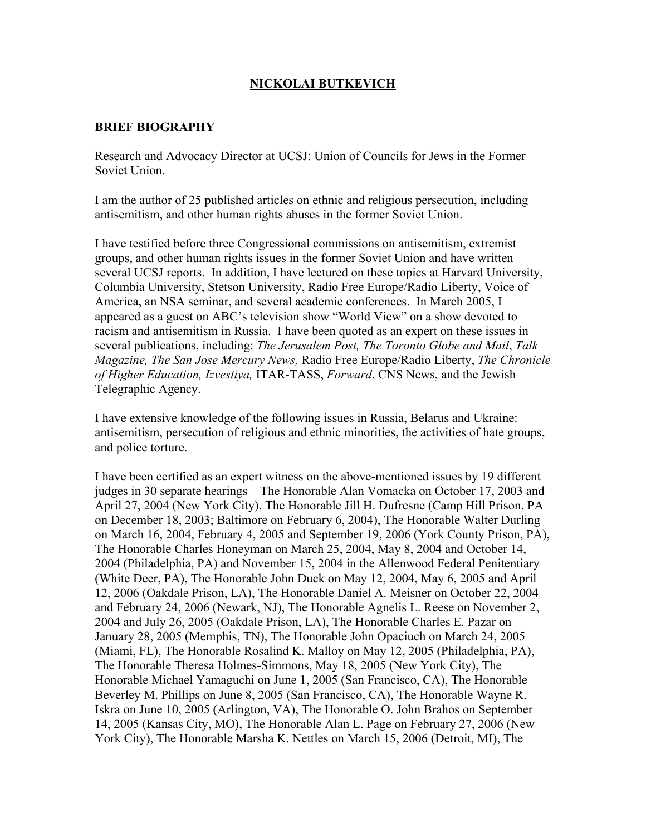# **NICKOLAI BUTKEVICH**

#### **BRIEF BIOGRAPHY**

Research and Advocacy Director at UCSJ: Union of Councils for Jews in the Former Soviet Union.

I am the author of 25 published articles on ethnic and religious persecution, including antisemitism, and other human rights abuses in the former Soviet Union.

I have testified before three Congressional commissions on antisemitism, extremist groups, and other human rights issues in the former Soviet Union and have written several UCSJ reports. In addition, I have lectured on these topics at Harvard University, Columbia University, Stetson University, Radio Free Europe/Radio Liberty, Voice of America, an NSA seminar, and several academic conferences.In March 2005, I appeared as a guest on ABC's television show "World View" on a show devoted to racism and antisemitism in Russia. I have been quoted as an expert on these issues in several publications, including: *The Jerusalem Post, The Toronto Globe and Mail*, *Talk Magazine, The San Jose Mercury News,* Radio Free Europe/Radio Liberty, *The Chronicle of Higher Education, Izvestiya,* ITAR-TASS, *Forward*, CNS News, and the Jewish Telegraphic Agency.

I have extensive knowledge of the following issues in Russia, Belarus and Ukraine: antisemitism, persecution of religious and ethnic minorities, the activities of hate groups, and police torture.

I have been certified as an expert witness on the above-mentioned issues by 19 different judges in 30 separate hearings—The Honorable Alan Vomacka on October 17, 2003 and April 27, 2004 (New York City), The Honorable Jill H. Dufresne (Camp Hill Prison, PA on December 18, 2003; Baltimore on February 6, 2004), The Honorable Walter Durling on March 16, 2004, February 4, 2005 and September 19, 2006 (York County Prison, PA), The Honorable Charles Honeyman on March 25, 2004, May 8, 2004 and October 14, 2004 (Philadelphia, PA) and November 15, 2004 in the Allenwood Federal Penitentiary (White Deer, PA), The Honorable John Duck on May 12, 2004, May 6, 2005 and April 12, 2006 (Oakdale Prison, LA), The Honorable Daniel A. Meisner on October 22, 2004 and February 24, 2006 (Newark, NJ), The Honorable Agnelis L. Reese on November 2, 2004 and July 26, 2005 (Oakdale Prison, LA), The Honorable Charles E. Pazar on January 28, 2005 (Memphis, TN), The Honorable John Opaciuch on March 24, 2005 (Miami, FL), The Honorable Rosalind K. Malloy on May 12, 2005 (Philadelphia, PA), The Honorable Theresa Holmes-Simmons, May 18, 2005 (New York City), The Honorable Michael Yamaguchi on June 1, 2005 (San Francisco, CA), The Honorable Beverley M. Phillips on June 8, 2005 (San Francisco, CA), The Honorable Wayne R. Iskra on June 10, 2005 (Arlington, VA), The Honorable O. John Brahos on September 14, 2005 (Kansas City, MO), The Honorable Alan L. Page on February 27, 2006 (New York City), The Honorable Marsha K. Nettles on March 15, 2006 (Detroit, MI), The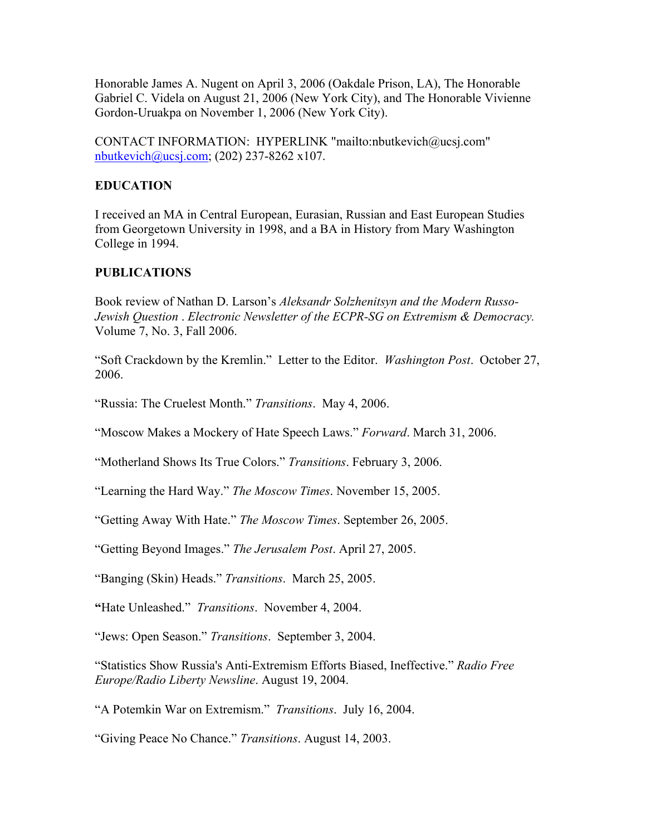Honorable James A. Nugent on April 3, 2006 (Oakdale Prison, LA), The Honorable Gabriel C. Videla on August 21, 2006 (New York City), and The Honorable Vivienne Gordon-Uruakpa on November 1, 2006 (New York City).

CONTACT INFORMATION: HYPERLINK "mailto:nbutkevich@ucsj.com"  $n$ butkevich $@$ ucsj.com; (202) 237-8262 x107.

## **EDUCATION**

I received an MA in Central European, Eurasian, Russian and East European Studies from Georgetown University in 1998, and a BA in History from Mary Washington College in 1994.

## **PUBLICATIONS**

Book review of Nathan D. Larson's *Aleksandr Solzhenitsyn and the Modern Russo-Jewish Question* . *Electronic Newsletter of the ECPR-SG on Extremism & Democracy.* Volume 7, No. 3, Fall 2006.

"Soft Crackdown by the Kremlin." Letter to the Editor. *Washington Post*. October 27, 2006.

"Russia: The Cruelest Month." *Transitions*. May 4, 2006.

"Moscow Makes a Mockery of Hate Speech Laws." *Forward*. March 31, 2006.

"Motherland Shows Its True Colors." *Transitions*. February 3, 2006.

"Learning the Hard Way." *The Moscow Times*. November 15, 2005.

"Getting Away With Hate." *The Moscow Times*. September 26, 2005.

"Getting Beyond Images." *The Jerusalem Post*. April 27, 2005.

"Banging (Skin) Heads." *Transitions*. March 25, 2005.

**"**Hate Unleashed." *Transitions*. November 4, 2004.

"Jews: Open Season." *Transitions*. September 3, 2004.

"Statistics Show Russia's Anti-Extremism Efforts Biased, Ineffective." *Radio Free Europe/Radio Liberty Newsline*. August 19, 2004.

"A Potemkin War on Extremism." *Transitions*. July 16, 2004.

"Giving Peace No Chance." *Transitions*. August 14, 2003.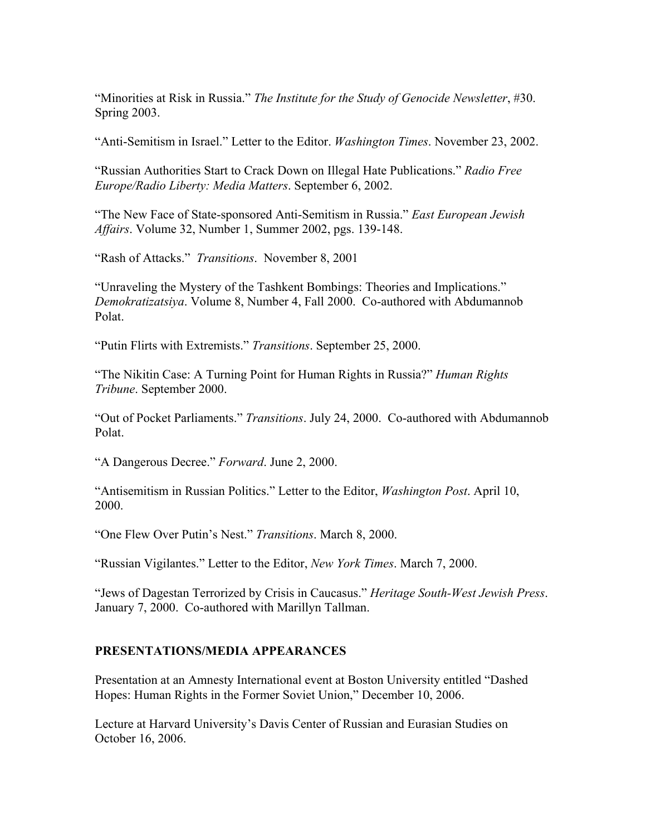"Minorities at Risk in Russia." *The Institute for the Study of Genocide Newsletter*, #30. Spring 2003.

"Anti-Semitism in Israel." Letter to the Editor. *Washington Times*. November 23, 2002.

"Russian Authorities Start to Crack Down on Illegal Hate Publications." *Radio Free Europe/Radio Liberty: Media Matters*. September 6, 2002.

"The New Face of State-sponsored Anti-Semitism in Russia." *East European Jewish Affairs*. Volume 32, Number 1, Summer 2002, pgs. 139-148.

"Rash of Attacks." *Transitions*. November 8, 2001

"Unraveling the Mystery of the Tashkent Bombings: Theories and Implications." *Demokratizatsiya*. Volume 8, Number 4, Fall 2000. Co-authored with Abdumannob Polat.

"Putin Flirts with Extremists." *Transitions*. September 25, 2000.

"The Nikitin Case: A Turning Point for Human Rights in Russia?" *Human Rights Tribune*. September 2000.

"Out of Pocket Parliaments." *Transitions*. July 24, 2000. Co-authored with Abdumannob Polat.

"A Dangerous Decree." *Forward*. June 2, 2000.

"Antisemitism in Russian Politics." Letter to the Editor, *Washington Post*. April 10, 2000.

"One Flew Over Putin's Nest." *Transitions*. March 8, 2000.

"Russian Vigilantes." Letter to the Editor, *New York Times*. March 7, 2000.

"Jews of Dagestan Terrorized by Crisis in Caucasus." *Heritage South-West Jewish Press*. January 7, 2000. Co-authored with Marillyn Tallman.

#### **PRESENTATIONS/MEDIA APPEARANCES**

Presentation at an Amnesty International event at Boston University entitled "Dashed Hopes: Human Rights in the Former Soviet Union," December 10, 2006.

Lecture at Harvard University's Davis Center of Russian and Eurasian Studies on October 16, 2006.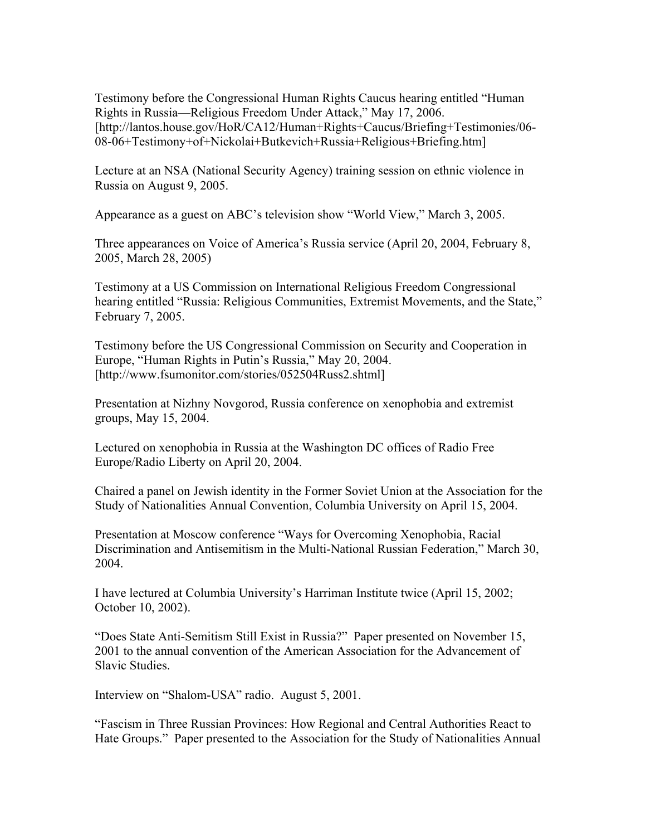Testimony before the Congressional Human Rights Caucus hearing entitled "Human Rights in Russia—Religious Freedom Under Attack," May 17, 2006. [http://lantos.house.gov/HoR/CA12/Human+Rights+Caucus/Briefing+Testimonies/06- 08-06+Testimony+of+Nickolai+Butkevich+Russia+Religious+Briefing.htm]

Lecture at an NSA (National Security Agency) training session on ethnic violence in Russia on August 9, 2005.

Appearance as a guest on ABC's television show "World View," March 3, 2005.

Three appearances on Voice of America's Russia service (April 20, 2004, February 8, 2005, March 28, 2005)

Testimony at a US Commission on International Religious Freedom Congressional hearing entitled "Russia: Religious Communities, Extremist Movements, and the State," February 7, 2005.

Testimony before the US Congressional Commission on Security and Cooperation in Europe, "Human Rights in Putin's Russia," May 20, 2004. [http://www.fsumonitor.com/stories/052504Russ2.shtml]

Presentation at Nizhny Novgorod, Russia conference on xenophobia and extremist groups, May 15, 2004.

Lectured on xenophobia in Russia at the Washington DC offices of Radio Free Europe/Radio Liberty on April 20, 2004.

Chaired a panel on Jewish identity in the Former Soviet Union at the Association for the Study of Nationalities Annual Convention, Columbia University on April 15, 2004.

Presentation at Moscow conference "Ways for Overcoming Xenophobia, Racial Discrimination and Antisemitism in the Multi-National Russian Federation," March 30, 2004.

I have lectured at Columbia University's Harriman Institute twice (April 15, 2002; October 10, 2002).

"Does State Anti-Semitism Still Exist in Russia?" Paper presented on November 15, 2001 to the annual convention of the American Association for the Advancement of Slavic Studies.

Interview on "Shalom-USA" radio. August 5, 2001.

"Fascism in Three Russian Provinces: How Regional and Central Authorities React to Hate Groups." Paper presented to the Association for the Study of Nationalities Annual